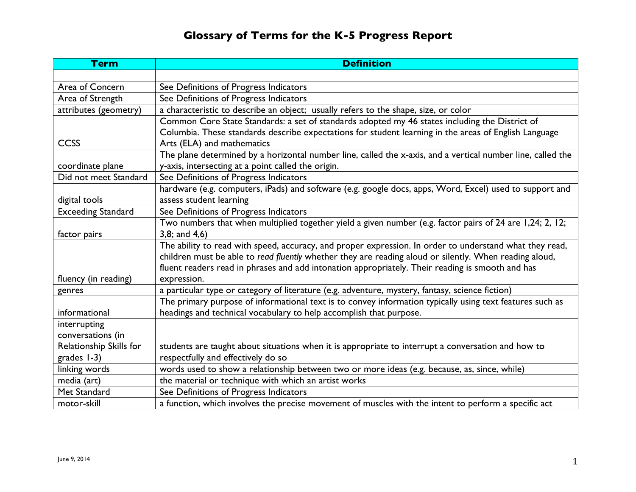## **Glossary of Terms for the K-5 Progress Report**

| <b>Term</b>               | <b>Definition</b>                                                                                           |
|---------------------------|-------------------------------------------------------------------------------------------------------------|
|                           |                                                                                                             |
| Area of Concern           | See Definitions of Progress Indicators                                                                      |
| Area of Strength          | See Definitions of Progress Indicators                                                                      |
| attributes (geometry)     | a characteristic to describe an object; usually refers to the shape, size, or color                         |
|                           | Common Core State Standards: a set of standards adopted my 46 states including the District of              |
|                           | Columbia. These standards describe expectations for student learning in the areas of English Language       |
| <b>CCSS</b>               | Arts (ELA) and mathematics                                                                                  |
|                           | The plane determined by a horizontal number line, called the x-axis, and a vertical number line, called the |
| coordinate plane          | y-axis, intersecting at a point called the origin.                                                          |
| Did not meet Standard     | See Definitions of Progress Indicators                                                                      |
|                           | hardware (e.g. computers, iPads) and software (e.g. google docs, apps, Word, Excel) used to support and     |
| digital tools             | assess student learning                                                                                     |
| <b>Exceeding Standard</b> | See Definitions of Progress Indicators                                                                      |
|                           | Two numbers that when multiplied together yield a given number (e.g. factor pairs of 24 are 1,24; 2, 12;    |
| factor pairs              | $3,8$ ; and $4,6$ )                                                                                         |
|                           | The ability to read with speed, accuracy, and proper expression. In order to understand what they read,     |
|                           | children must be able to read fluently whether they are reading aloud or silently. When reading aloud,      |
|                           | fluent readers read in phrases and add intonation appropriately. Their reading is smooth and has            |
| fluency (in reading)      | expression.                                                                                                 |
| genres                    | a particular type or category of literature (e.g. adventure, mystery, fantasy, science fiction)             |
|                           | The primary purpose of informational text is to convey information typically using text features such as    |
| informational             | headings and technical vocabulary to help accomplish that purpose.                                          |
| interrupting              |                                                                                                             |
| conversations (in         |                                                                                                             |
| Relationship Skills for   | students are taught about situations when it is appropriate to interrupt a conversation and how to          |
| grades 1-3)               | respectfully and effectively do so                                                                          |
| linking words             | words used to show a relationship between two or more ideas (e.g. because, as, since, while)                |
| media (art)               | the material or technique with which an artist works                                                        |
| Met Standard              | See Definitions of Progress Indicators                                                                      |
| motor-skill               | a function, which involves the precise movement of muscles with the intent to perform a specific act        |